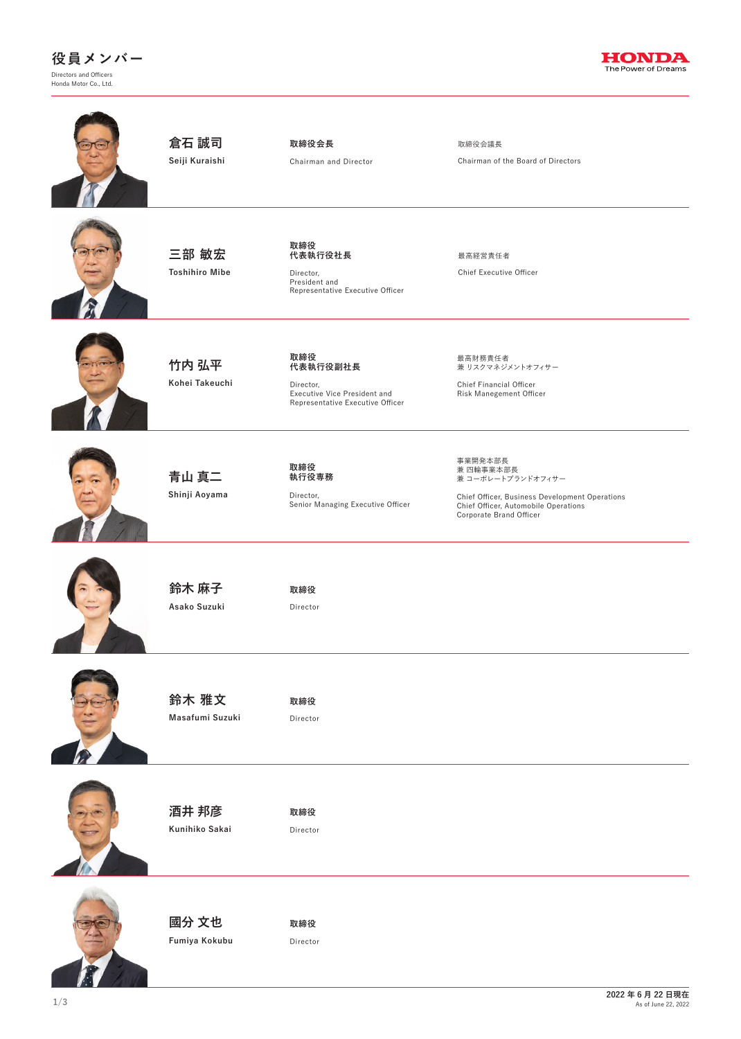



| 倉石 誠司<br>Seiji Kuraishi        | 取締役会長<br>Chairman and Director                                                                          | 取締役会議長<br>Chairman of the Board of Directors                                                                                                                   |
|--------------------------------|---------------------------------------------------------------------------------------------------------|----------------------------------------------------------------------------------------------------------------------------------------------------------------|
| 三部 敏宏<br><b>Toshihiro Mibe</b> | 取締役<br>代表執行役社長<br>Director,<br>President and<br>Representative Executive Officer                        | 最高経営責任者<br>Chief Executive Officer                                                                                                                             |
| 竹内 弘平<br>Kohei Takeuchi        | 取締役<br>代表執行役副社長<br>Director,<br><b>Executive Vice President and</b><br>Representative Executive Officer | 最高財務責任者<br>兼 リスクマネジメントオフィサー<br>Chief Financial Officer<br><b>Risk Manegement Officer</b>                                                                       |
| 青山 真二<br>Shinji Aoyama         | 取締役<br>執行役専務<br>Director,<br>Senior Managing Executive Officer                                          | 事業開発本部長<br>兼 四輪事業本部長<br>兼 コーポレートブランドオフィサー<br>Chief Officer, Business Development Operations<br>Chief Officer, Automobile Operations<br>Corporate Brand Officer |
| 鈴木 麻子<br>Asako Suzuki          | 取締役<br>Director                                                                                         |                                                                                                                                                                |
| 鈴木 雅文<br>Masafumi Suzuki       | 取締役<br>Director                                                                                         |                                                                                                                                                                |
| 酒井 邦彦<br>Kunihiko Sakai        | 取締役<br>Director                                                                                         |                                                                                                                                                                |
| 國分 文也<br>Fumiya Kokubu         | 取締役<br>Director                                                                                         |                                                                                                                                                                |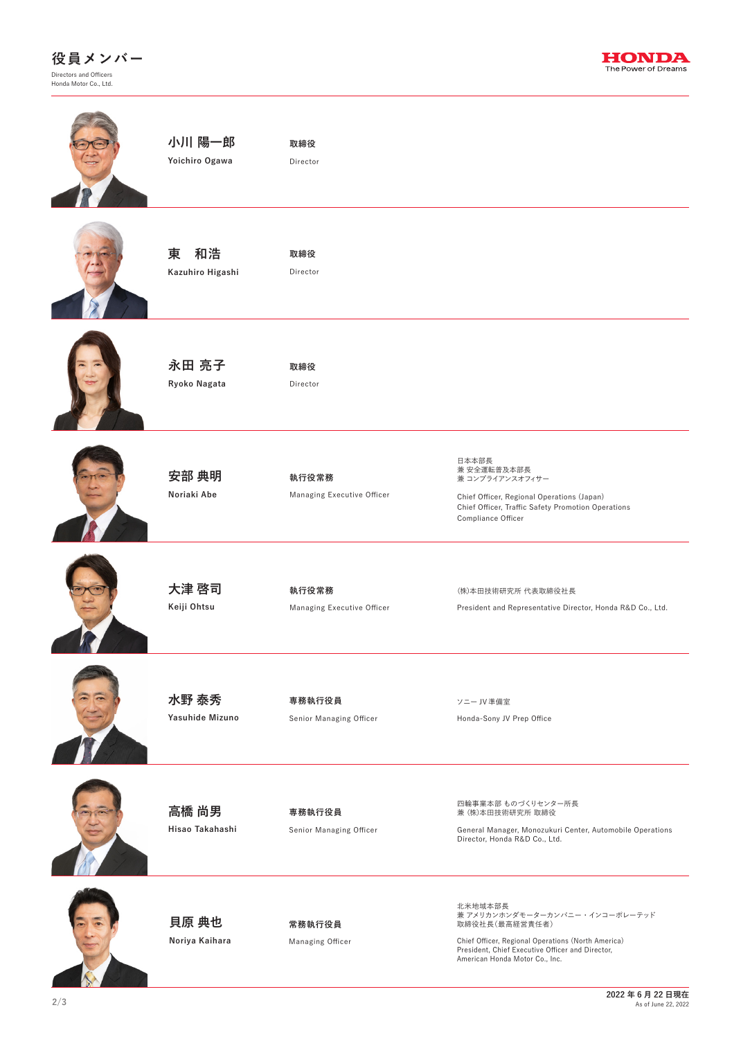

**2/3 2022 年 6 月 22 日現在** As of June 22, 2022